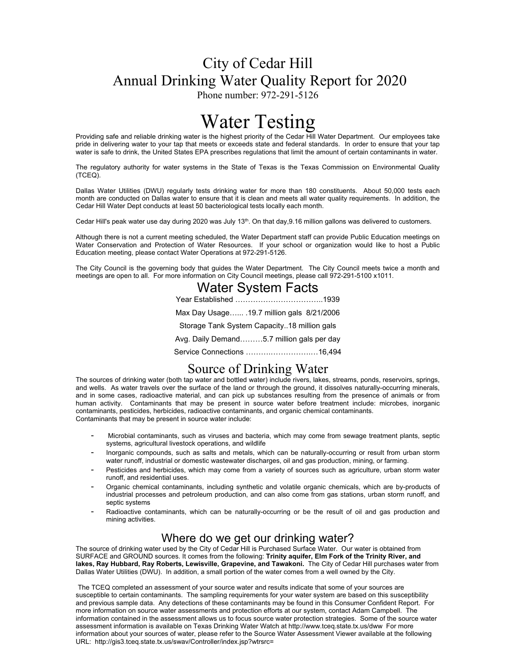## City of Cedar Hill Annual Drinking Water Quality Report for 2020

Phone number: 972-291-5126

# Water Testing

Providing safe and reliable drinking water is the highest priority of the Cedar Hill Water Department. Our employees take pride in delivering water to your tap that meets or exceeds state and federal standards. In order to ensure that your tap water is safe to drink, the United States EPA prescribes regulations that limit the amount of certain contaminants in water.

The regulatory authority for water systems in the State of Texas is the Texas Commission on Environmental Quality (TCEQ).

Dallas Water Utilities (DWU) regularly tests drinking water for more than 180 constituents. About 50,000 tests each month are conducted on Dallas water to ensure that it is clean and meets all water quality requirements. In addition, the Cedar Hill Water Dept conducts at least 50 bacteriological tests locally each month.

Cedar Hill's peak water use day during 2020 was July 13<sup>th</sup>. On that day,9.16 million gallons was delivered to customers.

Although there is not a current meeting scheduled, the Water Department staff can provide Public Education meetings on Water Conservation and Protection of Water Resources. If your school or organization would like to host a Public Education meeting, please contact Water Operations at 972-291-5126.

The City Council is the governing body that guides the Water Department. The City Council meets twice a month and meetings are open to all. For more information on City Council meetings, please call 972-291-5100 x1011.

| <b>Water System Facts</b>                   |
|---------------------------------------------|
|                                             |
| Max Day Usage .19.7 million gals 8/21/2006  |
| Storage Tank System Capacity18 million gals |
| Avg. Daily Demand5.7 million gals per day   |
| Service Connections 16,494                  |

## Source of Drinking Water

The sources of drinking water (both tap water and bottled water) include rivers, lakes, streams, ponds, reservoirs, springs, and wells. As water travels over the surface of the land or through the ground, it dissolves naturally-occurring minerals, and in some cases, radioactive material, and can pick up substances resulting from the presence of animals or from human activity. Contaminants that may be present in source water before treatment include: microbes, inorganic contaminants, pesticides, herbicides, radioactive contaminants, and organic chemical contaminants. Contaminants that may be present in source water include:

- Microbial contaminants, such as viruses and bacteria, which may come from sewage treatment plants, septic systems, agricultural livestock operations, and wildlife
- Inorganic compounds, such as salts and metals, which can be naturally-occurring or result from urban storm water runoff, industrial or domestic wastewater discharges, oil and gas production, mining, or farming.
- Pesticides and herbicides, which may come from a variety of sources such as agriculture, urban storm water runoff, and residential uses.
- Organic chemical contaminants, including synthetic and volatile organic chemicals, which are by-products of industrial processes and petroleum production, and can also come from gas stations, urban storm runoff, and septic systems
- Radioactive contaminants, which can be naturally-occurring or be the result of oil and gas production and mining activities.

## Where do we get our drinking water?

The source of drinking water used by the City of Cedar Hill is Purchased Surface Water. Our water is obtained from SURFACE and GROUND sources. It comes from the following: **Trinity aquifer, Elm Fork of the Trinity River, and lakes, Ray Hubbard, Ray Roberts, Lewisville, Grapevine, and Tawakoni.** The City of Cedar Hill purchases water from Dallas Water Utilities (DWU). In addition, a small portion of the water comes from a well owned by the City.

The TCEQ completed an assessment of your source water and results indicate that some of your sources are susceptible to certain contaminants. The sampling requirements for your water system are based on this susceptibility and previous sample data. Any detections of these contaminants may be found in this Consumer Confident Report. For more information on source water assessments and protection efforts at our system, contact Adam Campbell. The information contained in the assessment allows us to focus source water protection strategies. Some of the source water assessment information is available on Texas Drinking Water Watch at http://www.tceq.state.tx.us/dww For more information about your sources of water, please refer to the Source Water Assessment Viewer available at the following URL: http://gis3.tceq.state.tx.us/swav/Controller/index.jsp?wtrsrc=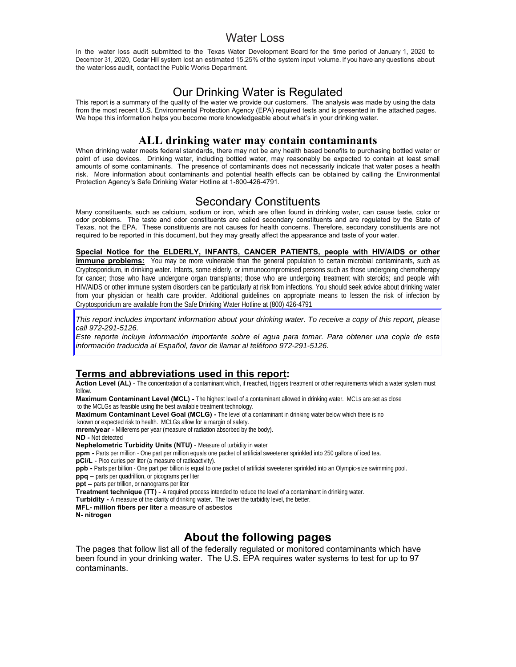### Water Loss

In the water loss audit submitted to the Texas Water Development Board for the time period of January 1, 2020 to December 31, 2020, Cedar Hill' system lost an estimated 15.25% of the system input volume. If you have any questions about the water loss audit, contact the Public Works Department.

## Our Drinking Water is Regulated

This report is a summary of the quality of the water we provide our customers. The analysis was made by using the data from the most recent U.S. Environmental Protection Agency (EPA) required tests and is presented in the attached pages. We hope this information helps you become more knowledgeable about what's in your drinking water.

## **ALL drinking water may contain contaminants**

When drinking water meets federal standards, there may not be any health based benefits to purchasing bottled water or point of use devices. Drinking water, including bottled water, may reasonably be expected to contain at least small amounts of some contaminants. The presence of contaminants does not necessarily indicate that water poses a health risk. More information about contaminants and potential health effects can be obtained by calling the Environmental Protection Agency's Safe Drinking Water Hotline at 1-800-426-4791.

## Secondary Constituents

Many constituents, such as calcium, sodium or iron, which are often found in drinking water, can cause taste, color or odor problems. The taste and odor constituents are called secondary constituents and are regulated by the State of Texas, not the EPA. These constituents are not causes for health concerns. Therefore, secondary constituents are not required to be reported in this document, but they may greatly affect the appearance and taste of your water.

**Special Notice for the ELDERLY, INFANTS, CANCER PATIENTS, people with HIV/AIDS or other immune problems:** You may be more vulnerable than the general population to certain microbial contaminants, such as Cryptosporidium, in drinking water. Infants, some elderly, or immunocompromised persons such as those undergoing chemotherapy for cancer; those who have undergone organ transplants; those who are undergoing treatment with steroids; and people with HIV/AIDS or other immune system disorders can be particularly at risk from infections. You should seek advice about drinking water from your physician or health care provider. Additional guidelines on appropriate means to lessen the risk of infection by Cryptosporidium are available from the Safe Drinking Water Hotline at (800) 426-4791

*This report includes important information about your drinking water. To receive a copy of this report, please call 972-291-5126.* 

*Este reporte incluye información importante sobre el agua para tomar. Para obtener una copia de esta información traducida al Español, favor de llamar al teléfono 972-291-5126.* 

#### **Terms and abbreviations used in this report:**

Action Level (AL) - The concentration of a contaminant which, if reached, triggers treatment or other requirements which a water system must follow.

**Maximum Contaminant Level (MCL) -** The highest level of a contaminant allowed in drinking water. MCLs are set as close to the MCLGs as feasible using the best available treatment technology.

**Maximum Contaminant Level Goal (MCLG) -** The level of a contaminant in drinking water below which there is no

known or expected risk to health. MCLGs allow for a margin of safety.

**mrem/year** - Millerems per year (measure of radiation absorbed by the body). **ND -** Not detected

**Nephelometric Turbidity Units (NTU)** - Measure of turbidity in water

**ppm -** Parts per million - One part per million equals one packet of artificial sweetener sprinkled into 250 gallons of iced tea. **pCi/L** - Pico curies per liter (a measure of radioactivity).

**ppb -** Parts per billion - One part per billion is equal to one packet of artificial sweetener sprinkled into an Olympic-size swimming pool. **ppq –** parts per quadrillion, or picograms per liter

**ppt –** parts per trillion, or nanograms per liter

**Treatment technique (TT)** - A required process intended to reduce the level of a contaminant in drinking water.

**Turbidity -** A measure of the clarity of drinking water. The lower the turbidity level, the better.

**MFL- million fibers per liter** a measure of asbestos

**N- nitrogen** 

## **About the following pages**

The pages that follow list all of the federally regulated or monitored contaminants which have been found in your drinking water. The U.S. EPA requires water systems to test for up to 97 contaminants.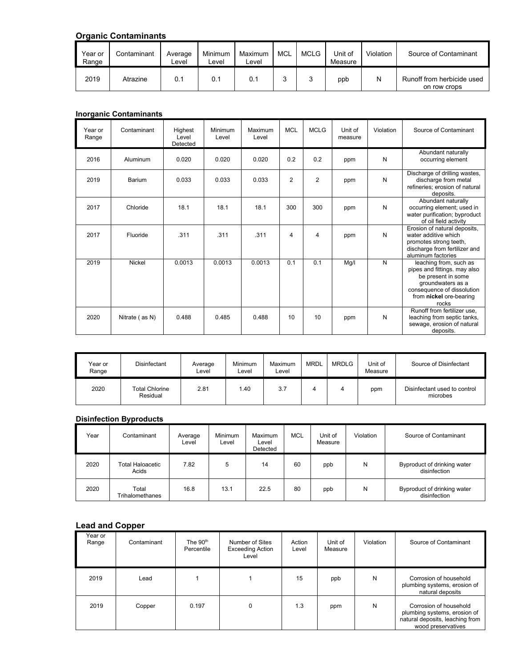## **Organic Contaminants**

| Year or<br>Range | Contaminant | Average<br>_evel | Minimum<br>∟evel | Maximum<br>Level | MCL | MCLG | Unit of<br>Measure | Violation | Source of Contaminant                      |
|------------------|-------------|------------------|------------------|------------------|-----|------|--------------------|-----------|--------------------------------------------|
| 2019             | Atrazine    | 0.1              | 0.1              | 0.1              |     |      | ppb                |           | Runoff from herbicide used<br>on row crops |

#### **Inorganic Contaminants**

| Year or<br>Range | Contaminant    | Highest<br>Level<br>Detected | Minimum<br>Level | Maximum<br>Level | <b>MCL</b>     | <b>MCLG</b> | Unit of<br>measure | Violation | Source of Contaminant                                                                                                                                               |
|------------------|----------------|------------------------------|------------------|------------------|----------------|-------------|--------------------|-----------|---------------------------------------------------------------------------------------------------------------------------------------------------------------------|
| 2016             | Aluminum       | 0.020                        | 0.020            | 0.020            | 0.2            | 0.2         | ppm                | N         | Abundant naturally<br>occurring element                                                                                                                             |
| 2019             | Barium         | 0.033                        | 0.033            | 0.033            | $\overline{2}$ | 2           | ppm                | N         | Discharge of drilling wastes,<br>discharge from metal<br>refineries; erosion of natural<br>deposits.                                                                |
| 2017             | Chloride       | 18.1                         | 18.1             | 18.1             | 300            | 300         | ppm                | N         | Abundant naturally<br>occurring element; used in<br>water purification; byproduct<br>of oil field activity                                                          |
| 2017             | Fluoride       | .311                         | .311             | .311             | 4              | 4           | ppm                | N         | Erosion of natural deposits,<br>water additive which<br>promotes strong teeth,<br>discharge from fertilizer and<br>aluminum factories                               |
| 2019             | Nickel         | 0.0013                       | 0.0013           | 0.0013           | 0.1            | 0.1         | Mg/l               | N         | leaching from, such as<br>pipes and fittings. may also<br>be present in some<br>groundwaters as a<br>consequence of dissolution<br>from nickel ore-bearing<br>rocks |
| 2020             | Nitrate (as N) | 0.488                        | 0.485            | 0.488            | 10             | 10          | ppm                | N         | Runoff from fertilizer use,<br>leaching from septic tanks,<br>sewage, erosion of natural<br>deposits.                                                               |

| Year or<br>Range | Disinfectant                      | Average<br>Level | Minimum<br>Level | Maximum<br>∟evel | <b>MRDL</b> | <b>MRDLG</b> | Unit of<br>Measure | Source of Disinfectant                   |
|------------------|-----------------------------------|------------------|------------------|------------------|-------------|--------------|--------------------|------------------------------------------|
| 2020             | <b>Total Chlorine</b><br>Residual | 2.81             | 1.40             | 3.7              |             | 4            | ppm                | Disinfectant used to control<br>microbes |

#### **Disinfection Byproducts**

| Year | Contaminant               | Average<br>Level | <b>Minimum</b><br>∟evel | Maximum<br>∟evel<br>Detected | <b>MCL</b> | Unit of<br>Measure | Violation | Source of Contaminant                       |
|------|---------------------------|------------------|-------------------------|------------------------------|------------|--------------------|-----------|---------------------------------------------|
| 2020 | Total Haloacetic<br>Acids | 7.82             | 5                       | 14                           | 60         | ppb                | N         | Byproduct of drinking water<br>disinfection |
| 2020 | Total<br>Trihalomethanes  | 16.8             | 13.1                    | 22.5                         | 80         | ppb                | N         | Byproduct of drinking water<br>disinfection |

## **Lead and Copper**

| Year or<br>Range | Contaminant | The $90th$<br>Percentile | Number of Sites<br><b>Exceeding Action</b><br>Level | Action<br>Level | Unit of<br>Measure | Violation | Source of Contaminant                                                                                           |
|------------------|-------------|--------------------------|-----------------------------------------------------|-----------------|--------------------|-----------|-----------------------------------------------------------------------------------------------------------------|
| 2019             | Lead        |                          |                                                     | 15              | ppb                | N         | Corrosion of household<br>plumbing systems, erosion of<br>natural deposits                                      |
| 2019             | Copper      | 0.197                    | 0                                                   | 1.3             | ppm                | Ν         | Corrosion of household<br>plumbing systems, erosion of<br>natural deposits, leaching from<br>wood preservatives |